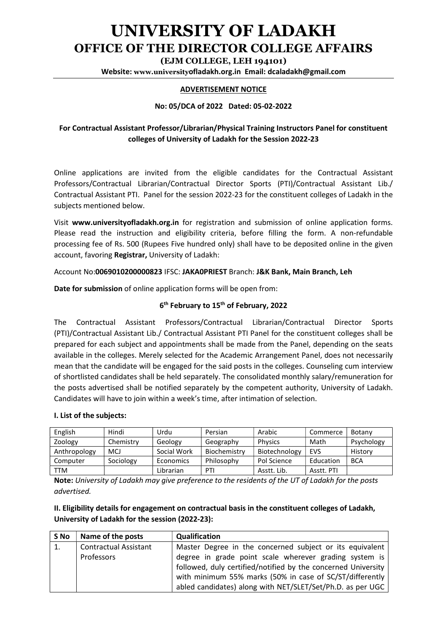# UNIVERSITY OF LADAKH OFFICE OF THE DIRECTOR COLLEGE AFFAIRS

(EJM COLLEGE, LEH 194101)

Website: www.universityofladakh.org.in Email: dcaladakh@gmail.com

#### ADVERTISEMENT NOTICE

#### No: 05/DCA of 2022 Dated: 05-02-2022

## For Contractual Assistant Professor/Librarian/Physical Training Instructors Panel for constituent colleges of University of Ladakh for the Session 2022-23

Online applications are invited from the eligible candidates for the Contractual Assistant Professors/Contractual Librarian/Contractual Director Sports (PTI)/Contractual Assistant Lib./ Contractual Assistant PTI. Panel for the session 2022-23 for the constituent colleges of Ladakh in the subjects mentioned below.

Visit www.universityofladakh.org.in for registration and submission of online application forms. Please read the instruction and eligibility criteria, before filling the form. A non-refundable processing fee of Rs. 500 (Rupees Five hundred only) shall have to be deposited online in the given account, favoring Registrar, University of Ladakh:

Account No:0069010200000823 IFSC: JAKA0PRIEST Branch: J&K Bank, Main Branch, Leh

Date for submission of online application forms will be open from:

#### 6<sup>th</sup> February to 15<sup>th</sup> of February, 2022

The Contractual Assistant Professors/Contractual Librarian/Contractual Director Sports (PTI)/Contractual Assistant Lib./ Contractual Assistant PTI Panel for the constituent colleges shall be prepared for each subject and appointments shall be made from the Panel, depending on the seats available in the colleges. Merely selected for the Academic Arrangement Panel, does not necessarily mean that the candidate will be engaged for the said posts in the colleges. Counseling cum interview of shortlisted candidates shall be held separately. The consolidated monthly salary/remuneration for the posts advertised shall be notified separately by the competent authority, University of Ladakh. Candidates will have to join within a week's time, after intimation of selection.

#### I. List of the subjects:

| English      | Hindi     | Urdu        | Persian      | Arabic         | Commerce   | Botany     |
|--------------|-----------|-------------|--------------|----------------|------------|------------|
| Zoology      | Chemistrv | Geology     | Geography    | <b>Physics</b> | Math       | Psychology |
| Anthropology | MCJ       | Social Work | Biochemistry | Biotechnology  | <b>EVS</b> | History    |
| Computer     | Sociology | Economics   | Philosophy   | Pol Science    | Education  | <b>BCA</b> |
| TTM          |           | Librarian   | PTI          | Asstt. Lib.    | Asstt. PTI |            |

Note: University of Ladakh may give preference to the residents of the UT of Ladakh for the posts advertised.

### II. Eligibility details for engagement on contractual basis in the constituent colleges of Ladakh, University of Ladakh for the session (2022-23):

| S No | Name of the posts            | Qualification                                                 |  |  |
|------|------------------------------|---------------------------------------------------------------|--|--|
| 1.   | <b>Contractual Assistant</b> | Master Degree in the concerned subject or its equivalent      |  |  |
|      | Professors                   | degree in grade point scale wherever grading system is        |  |  |
|      |                              | followed, duly certified/notified by the concerned University |  |  |
|      |                              | with minimum 55% marks (50% in case of SC/ST/differently      |  |  |
|      |                              | abled candidates) along with NET/SLET/Set/Ph.D. as per UGC    |  |  |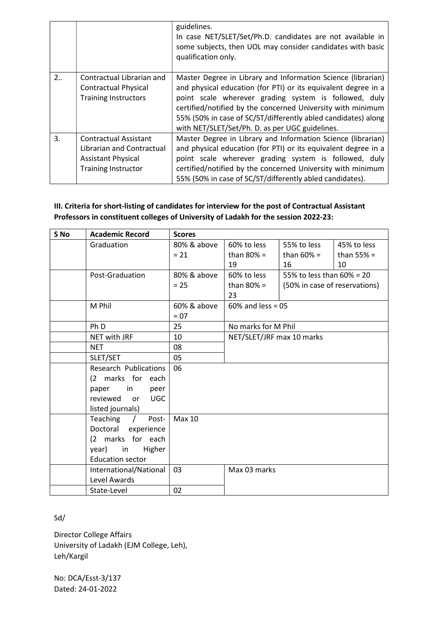|    |                                                                                                               | guidelines.<br>In case NET/SLET/Set/Ph.D. candidates are not available in<br>some subjects, then UOL may consider candidates with basic<br>qualification only.                                                                                                                                                                                                             |
|----|---------------------------------------------------------------------------------------------------------------|----------------------------------------------------------------------------------------------------------------------------------------------------------------------------------------------------------------------------------------------------------------------------------------------------------------------------------------------------------------------------|
| 2  | Contractual Librarian and<br><b>Contractual Physical</b><br><b>Training Instructors</b>                       | Master Degree in Library and Information Science (librarian)<br>and physical education (for PTI) or its equivalent degree in a<br>point scale wherever grading system is followed, duly<br>certified/notified by the concerned University with minimum<br>55% (50% in case of SC/ST/differently abled candidates) along<br>with NET/SLET/Set/Ph. D. as per UGC guidelines. |
| 3. | Contractual Assistant<br>Librarian and Contractual<br><b>Assistant Physical</b><br><b>Training Instructor</b> | Master Degree in Library and Information Science (librarian)<br>and physical education (for PTI) or its equivalent degree in a<br>point scale wherever grading system is followed, duly<br>certified/notified by the concerned University with minimum<br>55% (50% in case of SC/ST/differently abled candidates).                                                         |

## III. Criteria for short-listing of candidates for interview for the post of Contractual Assistant Professors in constituent colleges of University of Ladakh for the session 2022-23:

| S No | <b>Academic Record</b>          | <b>Scores</b>      |                                          |                               |              |  |
|------|---------------------------------|--------------------|------------------------------------------|-------------------------------|--------------|--|
|      | Graduation                      | 80% & above        | 60% to less                              | 55% to less                   | 45% to less  |  |
|      |                                 | $= 21$             | than $80\%$ =                            | than $60\%$ =                 | than $55% =$ |  |
|      |                                 |                    | 19                                       | 16                            | 10           |  |
|      | Post-Graduation                 | 80% & above        | 60% to less<br>55% to less than 60% = 20 |                               |              |  |
|      |                                 | $= 25$             | than $80\%$ =                            | (50% in case of reservations) |              |  |
|      |                                 |                    | 23                                       |                               |              |  |
|      | M Phil                          | 60% & above        | $60\%$ and less = 05                     |                               |              |  |
|      |                                 | $= 07$             |                                          |                               |              |  |
|      | Ph D                            | 25                 | No marks for M Phil                      |                               |              |  |
|      | <b>NET with JRF</b>             | 10                 | NET/SLET/JRF max 10 marks                |                               |              |  |
|      | <b>NET</b>                      | 08                 |                                          |                               |              |  |
|      | SLET/SET                        | 05                 |                                          |                               |              |  |
|      | <b>Research Publications</b>    | 06                 |                                          |                               |              |  |
|      | (2 marks for each               |                    |                                          |                               |              |  |
|      | $\mathsf{in}$<br>paper<br>peer  |                    |                                          |                               |              |  |
|      | <b>UGC</b><br>reviewed<br>or    |                    |                                          |                               |              |  |
|      | listed journals)                |                    |                                          |                               |              |  |
|      | Teaching<br>Post-<br>$\sqrt{ }$ | <b>Max 10</b>      |                                          |                               |              |  |
|      | Doctoral experience             |                    |                                          |                               |              |  |
|      | (2 marks for each               |                    |                                          |                               |              |  |
|      | Higher<br>year) in              |                    |                                          |                               |              |  |
|      | <b>Education sector</b>         |                    |                                          |                               |              |  |
|      | International/National          | 03<br>Max 03 marks |                                          |                               |              |  |
|      | Level Awards                    |                    |                                          |                               |              |  |
|      | State-Level                     | 02                 |                                          |                               |              |  |

## Sd/

Director College Affairs University of Ladakh (EJM College, Leh), Leh/Kargil

No: DCA/Esst-3/137 Dated: 24-01-2022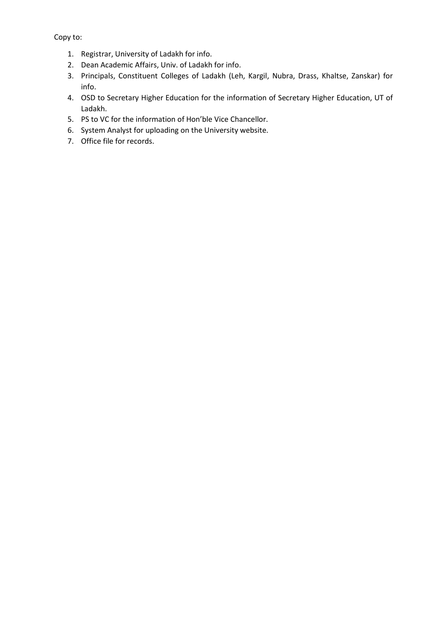Copy to:

- 1. Registrar, University of Ladakh for info.
- 2. Dean Academic Affairs, Univ. of Ladakh for info.
- 3. Principals, Constituent Colleges of Ladakh (Leh, Kargil, Nubra, Drass, Khaltse, Zanskar) for info.
- 4. OSD to Secretary Higher Education for the information of Secretary Higher Education, UT of Ladakh.
- 5. PS to VC for the information of Hon'ble Vice Chancellor.
- 6. System Analyst for uploading on the University website.
- 7. Office file for records.